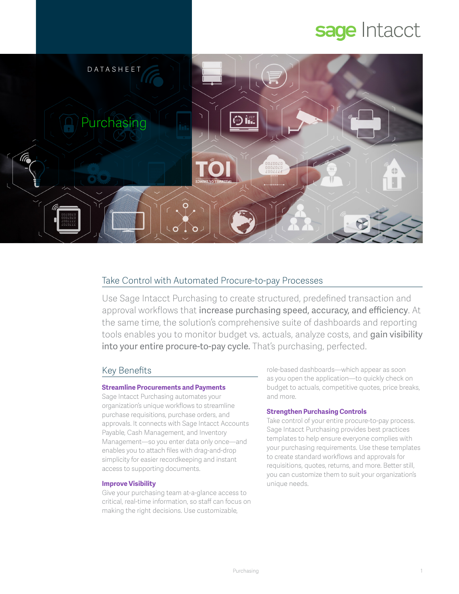# sage Intacct



# Take Control with Automated Procure-to-pay Processes

Use Sage Intacct Purchasing to create structured, predefined transaction and approval workflows that increase purchasing speed, accuracy, and efficiency. At the same time, the solution's comprehensive suite of dashboards and reporting tools enables you to monitor budget vs. actuals, analyze costs, and gain visibility into your entire procure-to-pay cycle. That's purchasing, perfected.

# Key Benefits

## **Streamline Procurements and Payments**

Sage Intacct Purchasing automates your organization's unique workflows to streamline purchase requisitions, purchase orders, and approvals. It connects with Sage Intacct Accounts Payable, Cash Management, and Inventory Management—so you enter data only once—and enables you to attach files with drag-and-drop simplicity for easier recordkeeping and instant access to supporting documents.

## **Improve Visibility**

Give your purchasing team at-a-glance access to critical, real-time information, so staff can focus on making the right decisions. Use customizable,

role-based dashboards—which appear as soon as you open the application—to quickly check on budget to actuals, competitive quotes, price breaks, and more.

## **Strengthen Purchasing Controls**

Take control of your entire procure-to-pay process. Sage Intacct Purchasing provides best practices templates to help ensure everyone complies with your purchasing requirements. Use these templates to create standard workflows and approvals for requisitions, quotes, returns, and more. Better still, you can customize them to suit your organization's unique needs.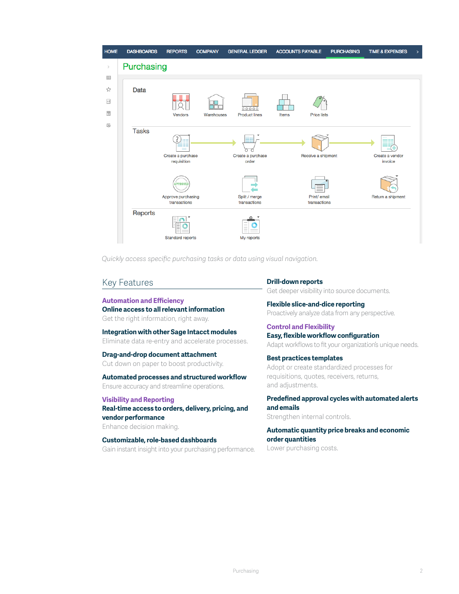

*Quickly access specific purchasing tasks or data using visual navigation.*

## Key Features

#### **Automation and Efficiency**

**Online access to all relevant information** Get the right information, right away.

**Integration with other Sage Intacct modules** Eliminate data re-entry and accelerate processes.

## **Drag-and-drop document attachment**

Cut down on paper to boost productivity.

## **Automated processes and structured workflow**

Ensure accuracy and streamline operations.

#### **Visibility and Reporting**

**Real-time access to orders, delivery, pricing, and vendor performance**

Enhance decision making.

# **Customizable, role-based dashboards**

Gain instant insight into your purchasing performance.

#### **Drill-down reports**

Get deeper visibility into source documents.

**Flexible slice-and-dice reporting** Proactively analyze data from any perspective.

**Control and Flexibility Easy, flexible workflow configuration** Adapt workflows to fit your organization's unique needs.

**Best practices templates** Adopt or create standardized processes for requisitions, quotes, receivers, returns, and adjustments.

**Predefined approval cycles with automated alerts and emails** Strengthen internal controls.

**Automatic quantity price breaks and economic order quantities** Lower purchasing costs.